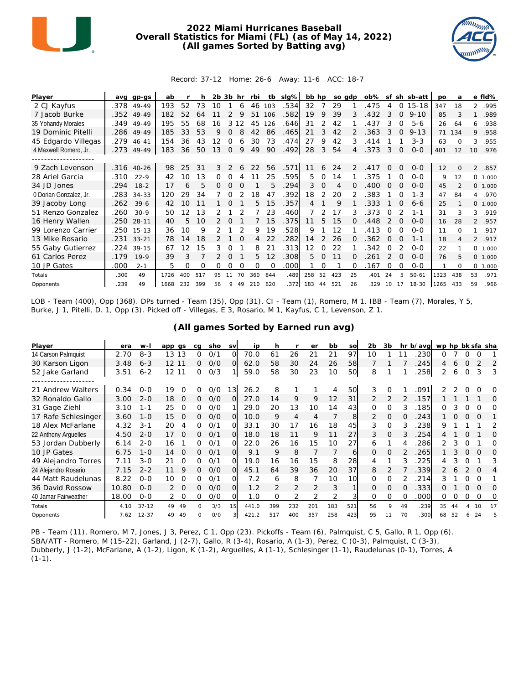

## **2022 Miami Hurricanes Baseball Overall Statistics for Miami (FL) (as of May 14, 2022) (All games Sorted by Batting avg)**



## Record: 37-12 Home: 26-6 Away: 11-6 ACC: 18-7

| Player                 | ava  | gp-gs      | ab   |     |     | $2b$ $3b$ |               | hr       | rbi | tb       | $slq\%$ | bb hp |          | so gdp |          | $ob\%$ | sf       |             | sh sb-att | po   | a              |                | e fld%   |
|------------------------|------|------------|------|-----|-----|-----------|---------------|----------|-----|----------|---------|-------|----------|--------|----------|--------|----------|-------------|-----------|------|----------------|----------------|----------|
| 2 CJ Kayfus            | .378 | 49-49      | 193  | 52  | 73  | 10        |               | 6        | 46  | 103      | .534    | 32    |          | 29     |          | .475   | 4        | 0           | $15 - 18$ | 347  | 18             | $\overline{2}$ | .995     |
| 7 Jacob Burke          |      | .352 49-49 | 182  | 52  | 64  |           |               | 9        | 51  | 106      | .582    | 19    | 9        | 39     | 3        | .432   | 3        | $\mathbf 0$ | $9 - 10$  | 85   | 3              | $\mathbf{1}$   | .989     |
| 35 Yohandy Morales     | .349 | 49-49      | 195  | 55  | 68  | 16        | 3             | 2        | 45  | 126      | .646    | 31    |          | 42     |          | .437   | 3        | $\Omega$    | $5 - 6$   | 26   | 64             | 6              | .938     |
| 19 Dominic Pitelli     |      | .286 49-49 | 185  | 33  | 53  | 9         | $\Omega$      | 8        | 42  | 86       | .465    | 21    | 3        | 42     |          | .363   | 3        | 0           | $9 - 13$  | 71   | 134            | 9              | .958     |
| 45 Edgardo Villegas    |      | .279 46-41 | 154  | 36  | 43  | 12        |               | 6        | 30  | 73       | .474    | 27    | 9        | 42     | 3        | .414   |          |             | $3 - 3$   | 63   | $\Omega$       | 3              | .955     |
| 4 Maxwell Romero, Jr.  | .273 | 49-49      | 183  | 36  | 50  | 13        | $\Omega$      | 9        | 49  | 90       | .492    | 28    | 3        | 54     | 4        | .373   | 3        | 0           | $0 - 0$   | 401  | 12             | 10             | .976     |
|                        |      |            |      |     |     |           |               |          |     |          |         |       |          |        |          |        |          |             |           |      |                |                |          |
| 9 Zach Levenson        |      | .316 40-26 | 98   | 25  | 31  | 3         | $\mathcal{P}$ |          | 22  | 56       | .571    | 11    | 6        | 24     | 2        | .417   | $\Omega$ | $\Omega$    | $0 - 0$   | 12   | $\Omega$       | $\overline{2}$ | .857     |
| 28 Ariel Garcia        | .310 | $22-9$     | 42   | 10  | 13  | 0         |               |          |     | 25       | .595    | 5.    | $\Omega$ | 14     |          | 375    |          | $\Omega$    | $0 - 0$   | 9    | 12             |                | 0 1.000  |
| 34 JD Jones            | .294 | $18 - 2$   | 17   | 6   | 5   | 0         | $\Omega$      | $\Omega$ |     | 5        | .294    | 3     | $\Omega$ | 4      | $\Omega$ | .400   | 0        | 0           | $0 - 0$   | 45   | $\mathfrak{D}$ |                | 0 1.000  |
| 0 Dorian Gonzalez, Jr. | .283 | $34 - 33$  | 120  | 29  | 34  |           |               |          | 18  | 47       | .392    | 18    | 2        | 20     |          | .383   |          | $\Omega$    | $1 - 3$   | 47   | 84             | $\overline{4}$ | .970     |
| 39 Jacoby Long         | .262 | $39-6$     | 42   | 10  | 11  |           | $\Omega$      |          | 5.  | 15       | .357    | 4     |          | 9      |          | 333    |          | $\Omega$    | $6 - 6$   | 25   |                |                | 0, 1,000 |
| 51 Renzo Gonzalez      | .260 | $30-9$     | 50   | 12  | 13  |           |               |          |     | 23       | .460    |       |          | 17     | 3        | .373   | 0        |             | $1 - 1$   | 31   | 3              | 3              | .919     |
| 16 Henry Wallen        | .250 | $28 - 11$  | 40   | 5   | 10  |           |               |          |     | 15       | .375    | 11    | 5        | 15     |          | .448   | 2        | O           | $0 - 0$   | 16   | 28             |                | 2 .957   |
| 99 Lorenzo Carrier     | .250 | $15 - 13$  | 36   | 10  | 9   |           |               |          | 9   | 19       | .528    | 9     |          | 12     |          | .413   | 0        | $\Omega$    | $O-O$     | 11   | $\Omega$       | 1              | .917     |
| 13 Mike Rosario        | .231 | $33 - 21$  | 78   | 14  | 18  |           |               | $\Omega$ | 4   | 22       | .282    | 14    | 2        | 26     | $\Omega$ | .362   | $\Omega$ | $\Omega$    | $1 - 1$   | 18   | 4              |                | 2 .917   |
| 55 Gaby Gutierrez      | .224 | $39-15$    | 67   | 12  | 15  | 3         |               |          | 8   | 21       | .313    | 12    | ∩        | 22     |          | 342    | 0        |             | $0 - 0$   | 22   |                |                | 0 1.000  |
| 61 Carlos Perez        | .179 | $19-9$     | 39   | 3   |     |           |               |          | 5   | 12       | .308    | 5     |          | 11     | $\Omega$ | 261    | 2        | $\Omega$    | $0 - 0$   | 76   | 5              |                | 0, 1,000 |
| 10 JP Gates            | .000 | $2 - 1$    | 5    | 0   | Ω   | 0         | 0             | $\Omega$ | 0   | $\Omega$ | .000    |       | 0        |        | O        | .167   | 0        | $\Omega$    | $0 - 0$   |      | $\Omega$       |                | 0, 1,000 |
| Totals                 | .300 | 49         | 1726 | 400 | 517 | 95        |               |          | 360 | 844      | .489    | 258   | 52       | 423    | 25       | .401   | 24       | 5           | $50 - 61$ | 1323 | 438            | 53             | .971     |
| Opponents              | .239 | 49         | 1668 | 232 | 399 | 56        | 9             | 49       | 210 | 620      | .372    | 183   | 44       | 521    | 26       | .329   | 10       | 17          | 18-30     | 1265 | 433            | 59             | .966     |

LOB - Team (400), Opp (368). DPs turned - Team (35), Opp (31). CI - Team (1), Romero, M 1. IBB - Team (7), Morales, Y 5, Burke, J 1, Pitelli, D. 1, Opp (3). Picked off - Villegas, E 3, Rosario, M 1, Kayfus, C 1, Levenson, Z 1.

| Player               | era   | $W-I$     | app gs         | ca       | sho | <b>SV</b> | ip    | h             |                | er            | bb  | SO  | 2 <sub>b</sub> | 3b       |    | hr b/avg | wp hp bk sfa sha |    |          |          |    |
|----------------------|-------|-----------|----------------|----------|-----|-----------|-------|---------------|----------------|---------------|-----|-----|----------------|----------|----|----------|------------------|----|----------|----------|----|
| 14 Carson Palmquist  | 2.70  | $8 - 3$   | 13<br>13       | 0        | 0/1 | Ω         | 70.0  | 61            | 26             | 21            | 21  | 97  | 10             |          |    | 230      | Ω                |    | 0        | 0        |    |
| 30 Karson Ligon      | 3.48  | $6 - 3$   | 12 11          | 0        | O/O | $\Omega$  | 62.0  | 58            | 30             | 24            | 26  | 58  |                |          |    | 245      | 4                | 6  |          |          | 2  |
| 52 Jake Garland      | 3.51  | $6 - 2$   | 12 11          | 0        | 0/3 |           | 59.0  | 58            | 30             | 23            | 10  | 50  | 8              |          |    | 258      | 2                | 6  | ∩        | 3        | 3  |
|                      |       |           |                |          |     |           |       |               |                |               |     |     |                |          |    |          |                  |    |          |          |    |
| 21 Andrew Walters    | 0.34  | $0 - 0$   | 19<br>$\Omega$ | 0        | O/O | 13        | 26.2  | 8             |                |               | 4   | 50  | 3              | $\Omega$ |    | 091      | 2                |    |          | $\Omega$ | O  |
| 32 Ronaldo Gallo     | 3.00  | $2 - 0$   | 0<br>18        | 0        | O/O | O         | 27.0  | 14            | 9              | 9             | 12  | 31  | 2              | 2        | 2  | .157     |                  |    |          |          | O  |
| 31 Gage Ziehl        | 3.10  | $1 - 1$   | 25<br>$\Omega$ | 0        | O/O |           | 29.0  | 20            | 13             | 10            | 14  | 43  | 0              | Ω        |    | .185     | Ω                |    |          | O        | Ω  |
| 17 Rafe Schlesinger  | 3.60  | $1 - 0$   | 15<br>$\Omega$ | 0        | O/O | 0         | 10.0  | 9             | $\overline{4}$ | 4             |     | 8   | $\mathcal{P}$  | $\Omega$ | 0  | 243      |                  |    |          | $\Omega$ |    |
| 18 Alex McFarlane    | 4.32  | $3 - 1$   | 20<br>4        | 0        | O/1 | O         | 33.1  | 30            | 17             | 16            | 18  | 45  | 3              | $\Omega$ | 3  | .238     | 9                |    |          |          | 2  |
| 22 Anthony Arguelles | 4.50  | $2 - 0$   | 17<br>$\Omega$ | 0        | 0/1 | $\Omega$  | 18.0  | 18            | 11             | 9             | 11  | 27  | 3              | O        |    | 254      |                  |    |          |          | Ω  |
| 53 Jordan Dubberly   | 6.14  | $2 - 0$   | 16             | 0        | 0/1 | Ω         | 22.0  | 26            | 16             | 15            | 10  | 27  | 6              |          | 4  | 286      |                  |    |          |          | Ω  |
| 10 JP Gates          | 6.75  | $1 - 0$   | $\Omega$<br>14 | 0        | 0/1 | $\Omega$  | 9.1   | 9             | 8              |               |     | 6   | 0              | $\Omega$ |    | 265      |                  | 3  | $\Omega$ | O        | Ω  |
| 49 Alejandro Torres  | 7.11  | $3-0$     | 21<br>$\Omega$ | 0        | 0/1 | Ω         | 19.0  | 16            | 16             | 15            | 8   | 28  | 4              |          |    | 225      | 4                |    |          |          | З  |
| 24 Alejandro Rosario | 7.15  | $2 - 2$   | 9<br>11        | 0        | O/O | Ω         | 45.1  | 64            | 39             | 36            | 20  | 37  | 8              | 2        |    | .339     |                  | 6  |          | $\Omega$ | 4  |
| 44 Matt Raudelunas   | 8.22  | $O - O$   | $\Omega$<br>10 | 0        | 0/1 | Ω         | 7.2   | 6             | 8              |               | 10  | 10  | 0              | 0        |    | 214      | 3                |    |          | $\Omega$ |    |
| 36 David Rossow      | 10.80 | $O - O$   | $\Omega$       | 0        | O/O | $\Omega$  | 1.2   | $\mathcal{P}$ | $\overline{2}$ | $\mathcal{D}$ | 3   |     | $\Omega$       | O        |    | 333      | 0                |    |          | $\Omega$ | ∩  |
| 40 Jamar Fairweather | 18.00 | $0 - 0$   | 2<br>$\Omega$  | 0        | O/O | O         | 1.0   | O             | 2              |               | 2   |     | 0              | Ω        | 0  | .000     | 0                | Ο  | 0        | $\Omega$ | Ω  |
| Totals               | 4.10  | $37 - 12$ | 49<br>49       | $\Omega$ | 3/3 | 15        | 441.0 | 399           | 232            | 201           | 183 | 521 | 56             | 9        | 49 | .239     | 35               | 44 |          | 10       | 17 |
| Opponents            | 7.62  | $12 - 37$ | 49<br>49       | 0        | O/O |           | 421.2 | 517           | 400            | 357           | 258 | 423 | 95             | 11       | 70 | 300      | 68               | 52 | 6        | 24       |    |

**(All games Sorted by Earned run avg)**

PB - Team (11), Romero, M 7, Jones, J 3, Perez, C 1, Opp (23). Pickoffs - Team (6), Palmquist, C 5, Gallo, R 1, Opp (6). SBA/ATT - Romero, M (15-22), Garland, J (2-7), Gallo, R (3-4), Rosario, A (1-3), Perez, C (0-3), Palmquist, C (3-3), Dubberly, J (1-2), McFarlane, A (1-2), Ligon, K (1-2), Arguelles, A (1-1), Schlesinger (1-1), Raudelunas (0-1), Torres, A  $(1-1)$ .